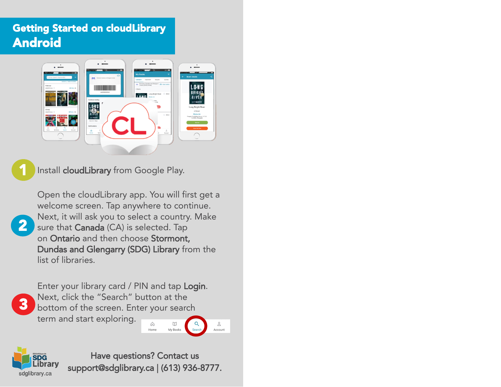## Getting Started on cloudLibrary Android



Install cloudLibrary from [Google Play.](https://play.google.com/store/apps/details?id=com.txtr.android.mmm)

2

Open the cloudLibrary app. You will first get a welcome screen. Tap anywhere to continue. Next, it will ask you to select a country. Make sure that Canada (CA) is selected. Tap on Ontario and then choose Stormont, Dundas and Glengarry (SDG) Library from the list of libraries.



Enter your library card / PIN and tap Login. Next, click the "Search" button at the bottom of the screen. Enter your search term and start exploring.





Have questions? Contact us support@sdglibrary.ca | (613) 936-8777.